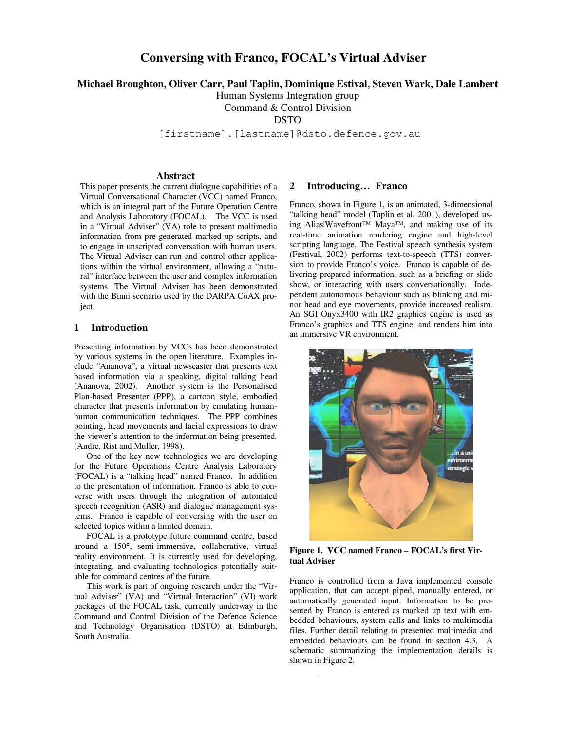# **Conversing with Franco, FOCAL's Virtual Adviser**

**Michael Broughton, Oliver Carr, Paul Taplin, Dominique Estival, Steven Wark, Dale Lambert**

Human Systems Integration group

Command & Control Division

DSTO

[firstname]. [lastname]@dsto.defence.gov.au

#### **Abstract**

This paper presents the current dialogue capabilities of a Virtual Conversational Character (VCC) named Franco, which is an integral part of the Future Operation Centre and Analysis Laboratory (FOCAL). The VCC is used in a "Virtual Adviser" (VA) role to present multimedia information from pre-generated marked up scripts, and to engage in unscripted conversation with human users. The Virtual Adviser can run and control other applications within the virtual environment, allowing a "natural" interface between the user and complex information systems. The Virtual Adviser has been demonstrated with the Binni scenario used by the DARPA CoAX project.

#### **1 Introduction**

Presenting information by VCCs has been demonstrated by various systems in the open literature. Examples include "Ananova", a virtual newscaster that presents text based information via a speaking, digital talking head (Ananova, 2002). Another system is the Personalised Plan-based Presenter (PPP), a cartoon style, embodied character that presents information by emulating humanhuman communication techniques. The PPP combines pointing, head movements and facial expressions to draw the viewer's attention to the information being presented. (Andre, Rist and Muller, 1998).

One of the key new technologies we are developing for the Future Operations Centre Analysis Laboratory (FOCAL) is a "talking head" named Franco. In addition to the presentation of information, Franco is able to converse with users through the integration of automated speech recognition (ASR) and dialogue management systems. Franco is capable of conversing with the user on selected topics within a limited domain.

FOCAL is a prototype future command centre, based around a 150°, semi-immersive, collaborative, virtual reality environment. It is currently used for developing, integrating, and evaluating technologies potentially suitable for command centres of the future.

This work is part of ongoing research under the "Virtual Adviser" (VA) and "Virtual Interaction" (VI) work packages of the FOCAL task, currently underway in the Command and Control Division of the Defence Science and Technology Organisation (DSTO) at Edinburgh, South Australia.

### **2 Introducing… Franco**

Franco, shown in Figure 1, is an animated, 3-dimensional "talking head" model (Taplin et al, 2001), developed using Alias|Wavefront™ Maya™, and making use of its real-time animation rendering engine and high-level scripting language. The Festival speech synthesis system (Festival, 2002) performs text-to-speech (TTS) conversion to provide Franco's voice. Franco is capable of delivering prepared information, such as a briefing or slide show, or interacting with users conversationally. Independent autonomous behaviour such as blinking and minor head and eye movements, provide increased realism. An SGI Onyx3400 with IR2 graphics engine is used as Franco's graphics and TTS engine, and renders him into an immersive VR environment.



**Figure 1. VCC named Franco – FOCAL's first Virtual Adviser**

Franco is controlled from a Java implemented console application, that can accept piped, manually entered, or automatically generated input. Information to be presented by Franco is entered as marked up text with embedded behaviours, system calls and links to multimedia files. Further detail relating to presented multimedia and embedded behaviours can be found in section 4.3. A schematic summarizing the implementation details is shown in Figure 2.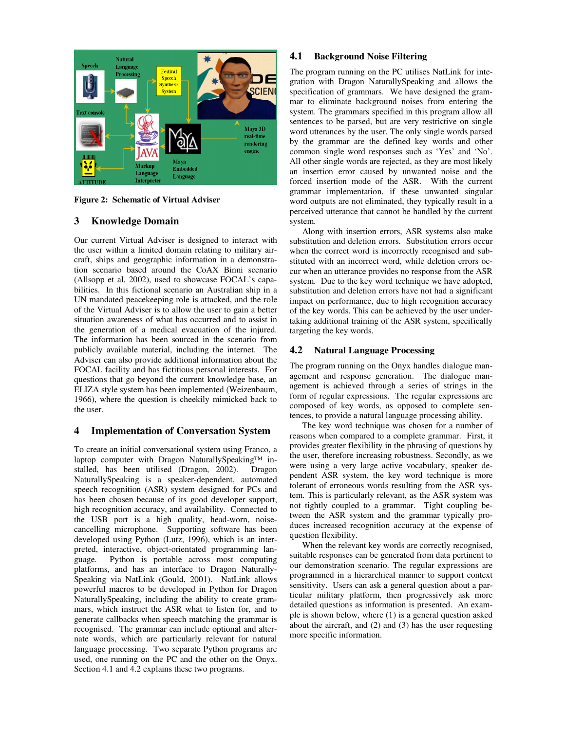

**Figure 2: Schematic of Virtual Adviser**

# **3 Knowledge Domain**

Our current Virtual Adviser is designed to interact with the user within a limited domain relating to military aircraft, ships and geographic information in a demonstration scenario based around the CoAX Binni scenario (Allsopp et al, 2002), used to showcase FOCAL's capabilities. In this fictional scenario an Australian ship in a UN mandated peacekeeping role is attacked, and the role of the Virtual Adviser is to allow the user to gain a better situation awareness of what has occurred and to assist in the generation of a medical evacuation of the injured. The information has been sourced in the scenario from publicly available material, including the internet. The Adviser can also provide additional information about the FOCAL facility and has fictitious personal interests. For questions that go beyond the current knowledge base, an ELIZA style system has been implemented (Weizenbaum, 1966), where the question is cheekily mimicked back to the user.

# **4 Implementation of Conversation System**

To create an initial conversational system using Franco, a laptop computer with Dragon NaturallySpeaking™ installed, has been utilised (Dragon, 2002). Dragon NaturallySpeaking is a speaker-dependent, automated speech recognition (ASR) system designed for PCs and has been chosen because of its good developer support, high recognition accuracy, and availability. Connected to the USB port is a high quality, head-worn, noisecancelling microphone. Supporting software has been developed using Python (Lutz, 1996), which is an interpreted, interactive, object-orientated programming language. Python is portable across most computing platforms, and has an interface to Dragon Naturally-Speaking via NatLink (Gould, 2001). NatLink allows powerful macros to be developed in Python for Dragon NaturallySpeaking, including the ability to create grammars, which instruct the ASR what to listen for, and to generate callbacks when speech matching the grammar is recognised. The grammar can include optional and alternate words, which are particularly relevant for natural language processing. Two separate Python programs are used, one running on the PC and the other on the Onyx. Section 4.1 and 4.2 explains these two programs.

# **4.1 Background Noise Filtering**

The program running on the PC utilises NatLink for integration with Dragon NaturallySpeaking and allows the specification of grammars. We have designed the grammar to eliminate background noises from entering the system. The grammars specified in this program allow all sentences to be parsed, but are very restrictive on single word utterances by the user. The only single words parsed by the grammar are the defined key words and other common single word responses such as 'Yes' and 'No'. All other single words are rejected, as they are most likely an insertion error caused by unwanted noise and the forced insertion mode of the ASR. With the current grammar implementation, if these unwanted singular word outputs are not eliminated, they typically result in a perceived utterance that cannot be handled by the current system.

Along with insertion errors, ASR systems also make substitution and deletion errors. Substitution errors occur when the correct word is incorrectly recognised and substituted with an incorrect word, while deletion errors occur when an utterance provides no response from the ASR system. Due to the key word technique we have adopted, substitution and deletion errors have not had a significant impact on performance, due to high recognition accuracy of the key words. This can be achieved by the user undertaking additional training of the ASR system, specifically targeting the key words.

# **4.2 Natural Language Processing**

The program running on the Onyx handles dialogue management and response generation. The dialogue management is achieved through a series of strings in the form of regular expressions. The regular expressions are composed of key words, as opposed to complete sentences, to provide a natural language processing ability.

The key word technique was chosen for a number of reasons when compared to a complete grammar. First, it provides greater flexibility in the phrasing of questions by the user, therefore increasing robustness. Secondly, as we were using a very large active vocabulary, speaker dependent ASR system, the key word technique is more tolerant of erroneous words resulting from the ASR system. This is particularly relevant, as the ASR system was not tightly coupled to a grammar. Tight coupling between the ASR system and the grammar typically produces increased recognition accuracy at the expense of question flexibility.

When the relevant key words are correctly recognised, suitable responses can be generated from data pertinent to our demonstration scenario. The regular expressions are programmed in a hierarchical manner to support context sensitivity. Users can ask a general question about a particular military platform, then progressively ask more detailed questions as information is presented. An example is shown below, where (1) is a general question asked about the aircraft, and (2) and (3) has the user requesting more specific information.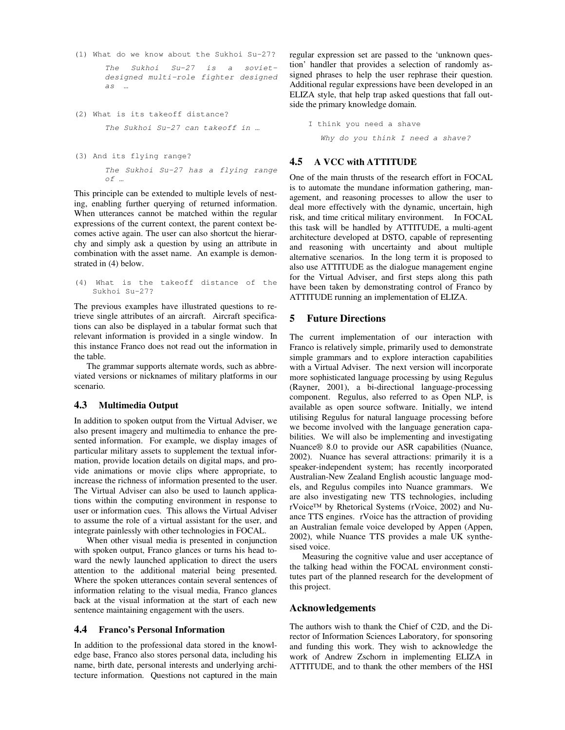- (1) What do we know about the Sukhoi Su-27? *The Sukhoi Su-27 is a sovietdesigned multi-role fighter designed as …*
- (2) What is its takeoff distance? *The Sukhoi Su-27 can takeoff in …*
- (3) And its flying range?

*The Sukhoi Su-27 has a flying range of …*

This principle can be extended to multiple levels of nesting, enabling further querying of returned information. When utterances cannot be matched within the regular expressions of the current context, the parent context becomes active again. The user can also shortcut the hierarchy and simply ask a question by using an attribute in combination with the asset name. An example is demonstrated in (4) below.

```
(4) What is the takeoff distance of the
 Sukhoi Su-27?
```
The previous examples have illustrated questions to retrieve single attributes of an aircraft. Aircraft specifications can also be displayed in a tabular format such that relevant information is provided in a single window. In this instance Franco does not read out the information in the table.

The grammar supports alternate words, such as abbreviated versions or nicknames of military platforms in our scenario.

# **4.3 Multimedia Output**

In addition to spoken output from the Virtual Adviser, we also present imagery and multimedia to enhance the presented information. For example, we display images of particular military assets to supplement the textual information, provide location details on digital maps, and provide animations or movie clips where appropriate, to increase the richness of information presented to the user. The Virtual Adviser can also be used to launch applications within the computing environment in response to user or information cues. This allows the Virtual Adviser to assume the role of a virtual assistant for the user, and integrate painlessly with other technologies in FOCAL.

When other visual media is presented in conjunction with spoken output, Franco glances or turns his head toward the newly launched application to direct the users attention to the additional material being presented. Where the spoken utterances contain several sentences of information relating to the visual media, Franco glances back at the visual information at the start of each new sentence maintaining engagement with the users.

#### **4.4 Franco's Personal Information**

In addition to the professional data stored in the knowledge base, Franco also stores personal data, including his name, birth date, personal interests and underlying architecture information. Questions not captured in the main regular expression set are passed to the 'unknown question' handler that provides a selection of randomly assigned phrases to help the user rephrase their question. Additional regular expressions have been developed in an ELIZA style, that help trap asked questions that fall outside the primary knowledge domain.

```
I think you need a shave
Why do you think I need a shave?
```
### **4.5 A VCC with ATTITUDE**

One of the main thrusts of the research effort in FOCAL is to automate the mundane information gathering, management, and reasoning processes to allow the user to deal more effectively with the dynamic, uncertain, high risk, and time critical military environment. In FOCAL this task will be handled by ATTITUDE, a multi-agent architecture developed at DSTO, capable of representing and reasoning with uncertainty and about multiple alternative scenarios. In the long term it is proposed to also use ATTITUDE as the dialogue management engine for the Virtual Adviser, and first steps along this path have been taken by demonstrating control of Franco by ATTITUDE running an implementation of ELIZA.

#### **5 Future Directions**

The current implementation of our interaction with Franco is relatively simple, primarily used to demonstrate simple grammars and to explore interaction capabilities with a Virtual Adviser. The next version will incorporate more sophisticated language processing by using Regulus (Rayner, 2001), a bi-directional language-processing component. Regulus, also referred to as Open NLP, is available as open source software. Initially, we intend utilising Regulus for natural language processing before we become involved with the language generation capabilities. We will also be implementing and investigating Nuance® 8.0 to provide our ASR capabilities (Nuance, 2002). Nuance has several attractions: primarily it is a speaker-independent system; has recently incorporated Australian-New Zealand English acoustic language models, and Regulus compiles into Nuance grammars. We are also investigating new TTS technologies, including rVoice™ by Rhetorical Systems (rVoice, 2002) and Nuance TTS engines. rVoice has the attraction of providing an Australian female voice developed by Appen (Appen, 2002), while Nuance TTS provides a male UK synthesised voice.

Measuring the cognitive value and user acceptance of the talking head within the FOCAL environment constitutes part of the planned research for the development of this project.

#### **Acknowledgements**

The authors wish to thank the Chief of C2D, and the Director of Information Sciences Laboratory, for sponsoring and funding this work. They wish to acknowledge the work of Andrew Zschorn in implementing ELIZA in ATTITUDE, and to thank the other members of the HSI